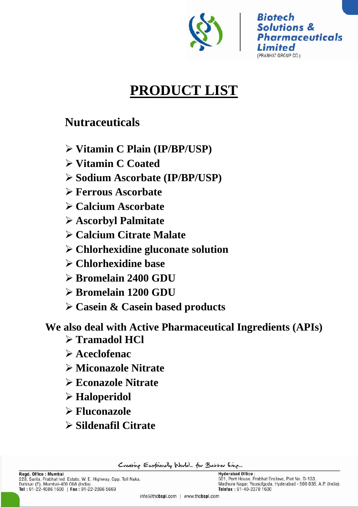

# **PRODUCT LIST**

## **Nutraceuticals**

- **Vitamin C Plain (IP/BP/USP)**
- **Vitamin C Coated**
- **Sodium Ascorbate (IP/BP/USP)**
- **Ferrous Ascorbate**
- **Calcium Ascorbate**
- **Ascorbyl Palmitate**
- **Calcium Citrate Malate**
- **Chlorhexidine gluconate solution**
- **Chlorhexidine base**
- **Bromelain 2400 GDU**
- **Bromelain 1200 GDU**
- **Casein & Casein based products**

**We also deal with Active Pharmaceutical Ingredients (APIs)**

- **Tramadol HCl**
- **Aceclofenac**
- **Miconazole Nitrate**
- **Econazole Nitrate**
- **Haloperidol**
- **Fluconazole**
- **Sildenafil Citrate**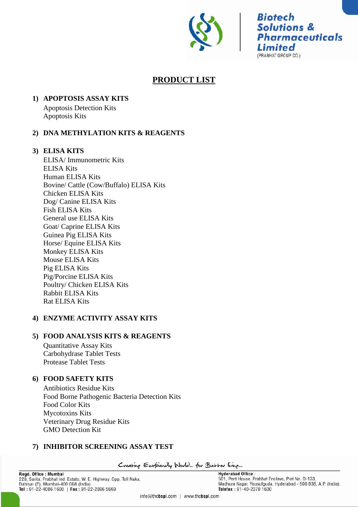

## **PRODUCT LIST**

## **1) APOPTOSIS ASSAY KITS**

Apoptosis Detection Kits Apoptosis Kits

## **2) DNA METHYLATION KITS & REAGENTS**

## **3) ELISA KITS**

ELISA/ Immunometric Kits ELISA Kits Human ELISA Kits Bovine/ Cattle (Cow/Buffalo) ELISA Kits Chicken ELISA Kits Dog/ Canine ELISA Kits Fish ELISA Kits General use ELISA Kits Goat/ Caprine ELISA Kits Guinea Pig ELISA Kits Horse/ Equine ELISA Kits Monkey ELISA Kits Mouse ELISA Kits Pig ELISA Kits Pig/Porcine ELISA Kits Poultry/ Chicken ELISA Kits Rabbit ELISA Kits Rat ELISA Kits

## **4) ENZYME ACTIVITY ASSAY KITS**

## **5) FOOD ANALYSIS KITS & REAGENTS**

Quantitative Assay Kits Carbohydrase Tablet Tests Protease Tablet Tests

## **6) FOOD SAFETY KITS**

Antibiotics Residue Kits Food Borne Pathogenic Bacteria Detection Kits Food Color Kits Mycotoxins Kits Veterinary Drug Residue Kits GMO Detection Kit

## **7) INHIBITOR SCREENING ASSAY TEST**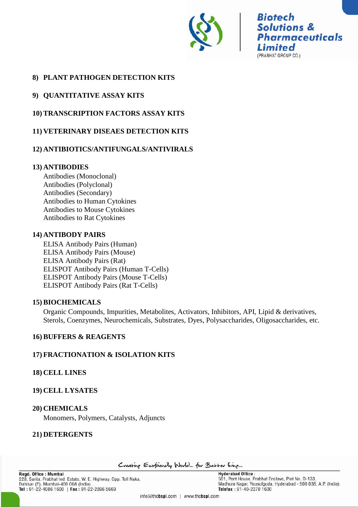

## **8) PLANT PATHOGEN DETECTION KITS**

## **9) QUANTITATIVE ASSAY KITS**

## **10) TRANSCRIPTION FACTORS ASSAY KITS**

## **11) VETERINARY DISEAES DETECTION KITS**

## **12) ANTIBIOTICS/ANTIFUNGALS/ANTIVIRALS**

#### **13) ANTIBODIES**

Antibodies (Monoclonal) Antibodies (Polyclonal) Antibodies (Secondary) Antibodies to Human Cytokines Antibodies to Mouse Cytokines Antibodies to Rat Cytokines

#### **14) ANTIBODY PAIRS**

ELISA Antibody Pairs (Human) ELISA Antibody Pairs (Mouse) ELISA Antibody Pairs (Rat) ELISPOT Antibody Pairs (Human T-Cells) ELISPOT Antibody Pairs (Mouse T-Cells) ELISPOT Antibody Pairs (Rat T-Cells)

## **15) BIOCHEMICALS**

Organic Compounds, Impurities, Metabolites, Activators, Inhibitors, API, Lipid & derivatives, Sterols, Coenzymes, Neurochemicals, Substrates, Dyes, Polysaccharides, Oligosaccharides, etc.

#### **16) BUFFERS & REAGENTS**

## **17) FRACTIONATION & ISOLATION KITS**

#### **18) CELL LINES**

## **19) CELL LYSATES**

#### **20) CHEMICALS**

Monomers, Polymers, Catalysts, Adjuncts

## **21) DETERGENTS**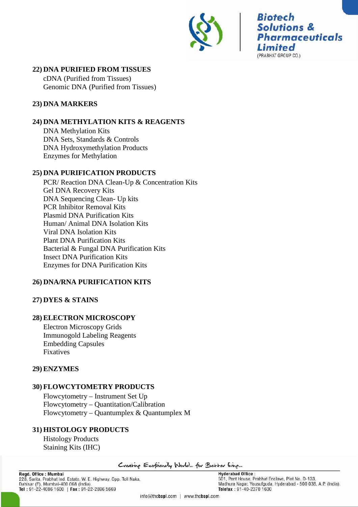

## **22) DNA PURIFIED FROM TISSUES**

cDNA (Purified from Tissues) Genomic DNA (Purified from Tissues)

## **23) DNA MARKERS**

## **24) DNA METHYLATION KITS & REAGENTS**

DNA Methylation Kits DNA Sets, Standards & Controls DNA Hydroxymethylation Products Enzymes for Methylation

## **25) DNA PURIFICATION PRODUCTS**

PCR/ Reaction DNA Clean-Up & Concentration Kits Gel DNA Recovery Kits DNA Sequencing Clean- Up kits PCR Inhibitor Removal Kits Plasmid DNA Purification Kits Human/ Animal DNA Isolation Kits Viral DNA Isolation Kits Plant DNA Purification Kits Bacterial & Fungal DNA Purification Kits Insect DNA Purification Kits Enzymes for DNA Purification Kits

## **26) DNA/RNA PURIFICATION KITS**

## **27) DYES & STAINS**

## **28) ELECTRON MICROSCOPY**

Electron Microscopy Grids Immunogold Labeling Reagents Embedding Capsules Fixatives

## **29) ENZYMES**

## **30) FLOWCYTOMETRY PRODUCTS**

Flowcytometry – Instrument Set Up Flowcytometry – Quantitation/Calibration Flowcytometry – Quantumplex & Quantumplex M

## **31) HISTOLOGY PRODUCTS**

Histology Products Staining Kits (IHC)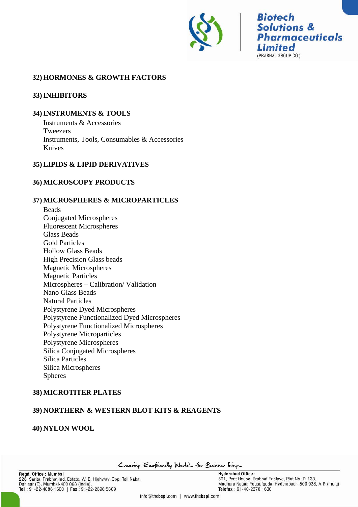

## **32) HORMONES & GROWTH FACTORS**

#### **33)INHIBITORS**

#### **34)INSTRUMENTS & TOOLS**

Instruments & Accessories Tweezers Instruments, Tools, Consumables & Accessories Knives

#### **35) LIPIDS & LIPID DERIVATIVES**

#### **36) MICROSCOPY PRODUCTS**

#### **37) MICROSPHERES & MICROPARTICLES**

Beads Conjugated Microspheres Fluorescent Microspheres Glass Beads Gold Particles Hollow Glass Beads High Precision Glass beads Magnetic Microspheres Magnetic Particles Microspheres – Calibration/ Validation Nano Glass Beads Natural Particles Polystyrene Dyed Microspheres Polystyrene Functionalized Dyed Microspheres Polystyrene Functionalized Microspheres Polystyrene Microparticles Polystyrene Microspheres Silica Conjugated Microspheres Silica Particles Silica Microspheres Spheres

## **38) MICROTITER PLATES**

## **39) NORTHERN & WESTERN BLOT KITS & REAGENTS**

#### **40) NYLON WOOL**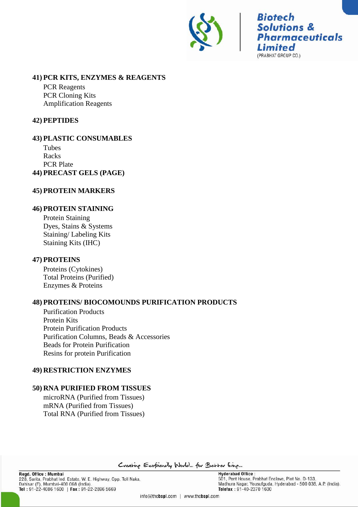

#### **41) PCR KITS, ENZYMES & REAGENTS**

PCR Reagents PCR Cloning Kits Amplification Reagents

## **42) PEPTIDES**

**43) PLASTIC CONSUMABLES** Tubes Racks PCR Plate **44) PRECAST GELS (PAGE)**

## **45) PROTEIN MARKERS**

## **46) PROTEIN STAINING**

Protein Staining Dyes, Stains & Systems Staining/ Labeling Kits Staining Kits (IHC)

## **47) PROTEINS**

Proteins (Cytokines) Total Proteins (Purified) Enzymes & Proteins

## **48) PROTEINS/ BIOCOMOUNDS PURIFICATION PRODUCTS**

Purification Products Protein Kits Protein Purification Products Purification Columns, Beads & Accessories Beads for Protein Purification Resins for protein Purification

## **49) RESTRICTION ENZYMES**

## **50) RNA PURIFIED FROM TISSUES**

microRNA (Purified from Tissues) mRNA (Purified from Tissues) Total RNA (Purified from Tissues)